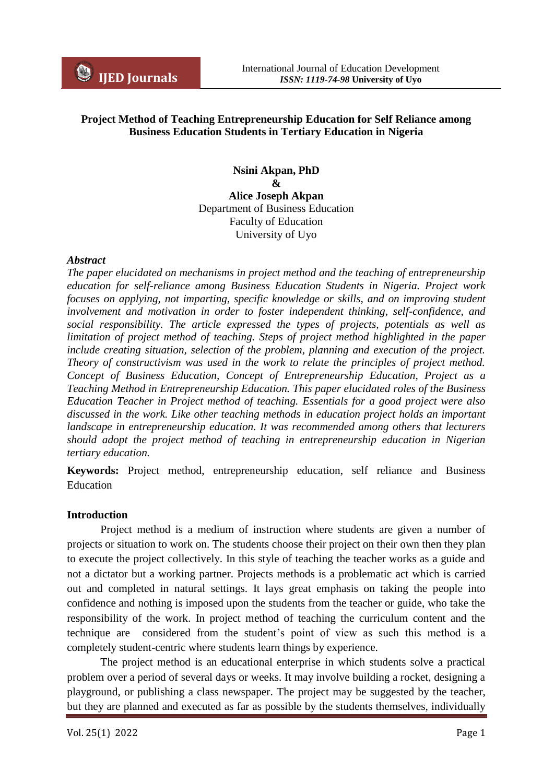## **Project Method of Teaching Entrepreneurship Education for Self Reliance among Business Education Students in Tertiary Education in Nigeria**

**Nsini Akpan, PhD & Alice Joseph Akpan** Department of Business Education Faculty of Education University of Uyo

#### *Abstract*

*The paper elucidated on mechanisms in project method and the teaching of entrepreneurship education for self-reliance among Business Education Students in Nigeria. Project work*  focuses on applying, not imparting, specific knowledge or skills, and on improving student *involvement and motivation in order to foster independent thinking, self-confidence, and social responsibility. The article expressed the types of projects, potentials as well as limitation of project method of teaching. Steps of project method highlighted in the paper include creating situation, selection of the problem, planning and execution of the project. Theory of constructivism was used in the work to relate the principles of project method. Concept of Business Education, Concept of Entrepreneurship Education, Project as a Teaching Method in Entrepreneurship Education. This paper elucidated roles of the Business Education Teacher in Project method of teaching. Essentials for a good project were also discussed in the work. Like other teaching methods in education project holds an important landscape in entrepreneurship education. It was recommended among others that lecturers should adopt the project method of teaching in entrepreneurship education in Nigerian tertiary education.*

**Keywords:** Project method, entrepreneurship education, self reliance and Business **Education** 

#### **Introduction**

Project method is a medium of instruction where students are given a number of projects or situation to work on. The students choose their project on their own then they plan to execute the project collectively. In this style of teaching the teacher works as a guide and not a dictator but a working partner. Projects methods is a problematic act which is carried out and completed in natural settings. It lays great emphasis on taking the people into confidence and nothing is imposed upon the students from the teacher or guide, who take the responsibility of the work. In project method of teaching the curriculum content and the technique are considered from the student's point of view as such this method is a completely student-centric where students learn things by experience.

The project method is an educational enterprise in which students solve a practical problem over a period of several days or weeks. It may involve building a rocket, designing a playground, or publishing a class newspaper. The project may be suggested by the teacher, but they are planned and executed as far as possible by the students themselves, individually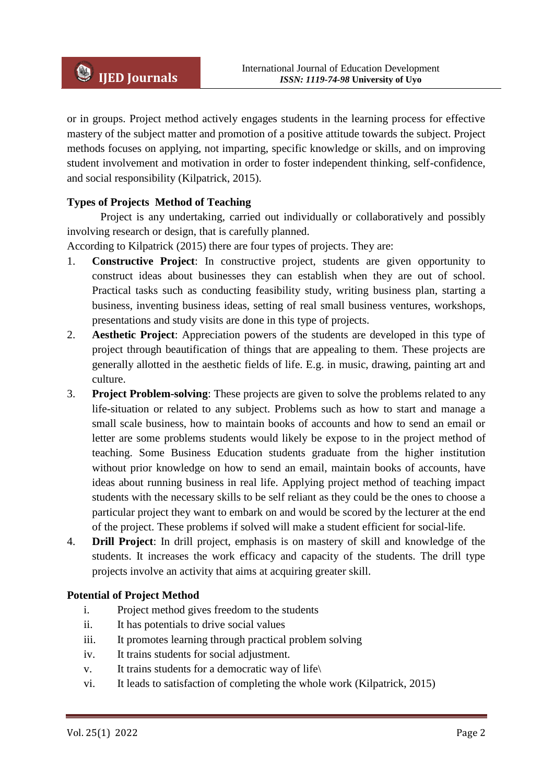or in groups. Project method actively engages students in the learning process for effective mastery of the subject matter and promotion of a positive attitude towards the subject. Project methods focuses on applying, not imparting, specific knowledge or skills, and on improving student involvement and motivation in order to foster independent thinking, self-confidence, and social responsibility (Kilpatrick, 2015).

## **Types of Projects Method of Teaching**

Project is any undertaking, carried out individually or collaboratively and possibly involving research or design, that is carefully planned.

According to Kilpatrick (2015) there are four types of projects. They are:

- 1. **Constructive Project**: In constructive project, students are given opportunity to construct ideas about businesses they can establish when they are out of school. Practical tasks such as conducting feasibility study, writing business plan, starting a business, inventing business ideas, setting of real small business ventures, workshops, presentations and study visits are done in this type of projects.
- 2. **Aesthetic Project**: Appreciation powers of the students are developed in this type of project through beautification of things that are appealing to them. These projects are generally allotted in the aesthetic fields of life. E.g. in music, drawing, painting art and culture.
- 3. **Project Problem-solving**: These projects are given to solve the problems related to any life-situation or related to any subject. Problems such as how to start and manage a small scale business, how to maintain books of accounts and how to send an email or letter are some problems students would likely be expose to in the project method of teaching. Some Business Education students graduate from the higher institution without prior knowledge on how to send an email, maintain books of accounts, have ideas about running business in real life. Applying project method of teaching impact students with the necessary skills to be self reliant as they could be the ones to choose a particular project they want to embark on and would be scored by the lecturer at the end of the project. These problems if solved will make a student efficient for social-life.
- 4. **Drill Project**: In drill project, emphasis is on mastery of skill and knowledge of the students. It increases the work efficacy and capacity of the students. The drill type projects involve an activity that aims at acquiring greater skill.

### **Potential of Project Method**

- i. Project method gives freedom to the students
- ii. It has potentials to drive social values
- iii. It promotes learning through practical problem solving
- iv. It trains students for social adjustment.
- v. It trains students for a democratic way of life\
- vi. It leads to satisfaction of completing the whole work (Kilpatrick, 2015)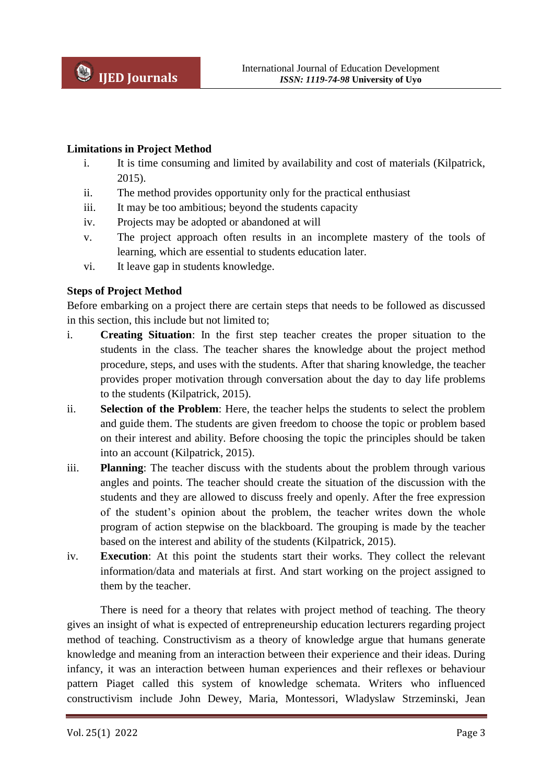### **Limitations in Project Method**

- i. It is time consuming and limited by availability and cost of materials (Kilpatrick, 2015).
- ii. The method provides opportunity only for the practical enthusiast
- iii. It may be too ambitious; beyond the students capacity
- iv. Projects may be adopted or abandoned at will
- v. The project approach often results in an incomplete mastery of the tools of learning, which are essential to students education later.
- vi. It leave gap in students knowledge.

## **Steps of Project Method**

Before embarking on a project there are certain steps that needs to be followed as discussed in this section, this include but not limited to;

- i. **Creating Situation**: In the first step teacher creates the proper situation to the students in the class. The teacher shares the knowledge about the project method procedure, steps, and uses with the students. After that sharing knowledge, the teacher provides proper motivation through conversation about the day to day life problems to the students (Kilpatrick, 2015).
- ii. **Selection of the Problem**: Here, the teacher helps the students to select the problem and guide them. The students are given freedom to choose the topic or problem based on their interest and ability. Before choosing the topic the principles should be taken into an account (Kilpatrick, 2015).
- iii. **Planning**: The teacher discuss with the students about the problem through various angles and points. The teacher should create the situation of the discussion with the students and they are allowed to discuss freely and openly. After the free expression of the student's opinion about the problem, the teacher writes down the whole program of action stepwise on the blackboard. The grouping is made by the teacher based on the interest and ability of the students (Kilpatrick, 2015).
- iv. **Execution**: At this point the students start their works. They collect the relevant information/data and materials at first. And start working on the project assigned to them by the teacher.

There is need for a theory that relates with project method of teaching. The theory gives an insight of what is expected of entrepreneurship education lecturers regarding project method of teaching. Constructivism as a theory of knowledge argue that humans generate knowledge and meaning from an interaction between their experience and their ideas. During infancy, it was an interaction between human experiences and their reflexes or behaviour pattern Piaget called this system of knowledge schemata. Writers who influenced constructivism include John Dewey, Maria, Montessori, Wladyslaw Strzeminski, Jean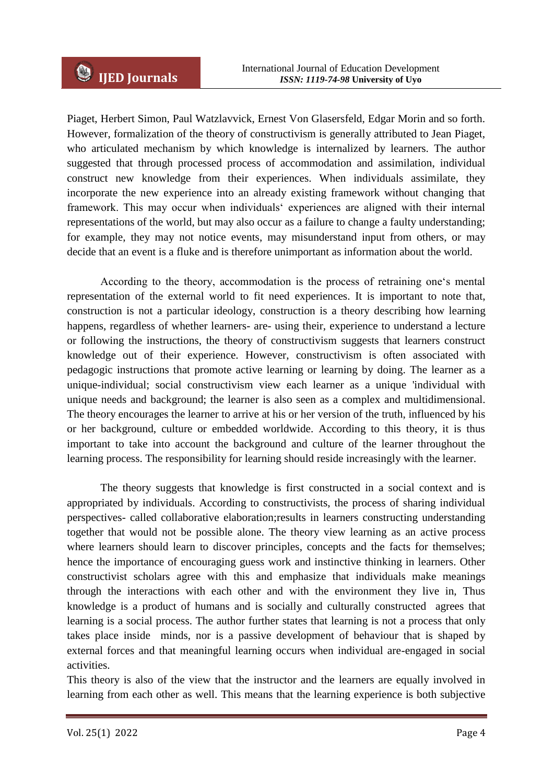Piaget, Herbert Simon, Paul Watzlavvick, Ernest Von Glasersfeld, Edgar Morin and so forth. However, formalization of the theory of constructivism is generally attributed to Jean Piaget, who articulated mechanism by which knowledge is internalized by learners. The author suggested that through processed process of accommodation and assimilation, individual construct new knowledge from their experiences. When individuals assimilate, they incorporate the new experience into an already existing framework without changing that framework. This may occur when individuals‗ experiences are aligned with their internal representations of the world, but may also occur as a failure to change a faulty understanding; for example, they may not notice events, may misunderstand input from others, or may decide that an event is a fluke and is therefore unimportant as information about the world.

According to the theory, accommodation is the process of retraining one's mental representation of the external world to fit need experiences. It is important to note that, construction is not a particular ideology, construction is a theory describing how learning happens, regardless of whether learners- are- using their, experience to understand a lecture or following the instructions, the theory of constructivism suggests that learners construct knowledge out of their experience. However, constructivism is often associated with pedagogic instructions that promote active learning or learning by doing. The learner as a unique-individual; social constructivism view each learner as a unique 'individual with unique needs and background; the learner is also seen as a complex and multidimensional. The theory encourages the learner to arrive at his or her version of the truth, influenced by his or her background, culture or embedded worldwide. According to this theory, it is thus important to take into account the background and culture of the learner throughout the learning process. The responsibility for learning should reside increasingly with the learner.

The theory suggests that knowledge is first constructed in a social context and is appropriated by individuals. According to constructivists, the process of sharing individual perspectives- called collaborative elaboration;results in learners constructing understanding together that would not be possible alone. The theory view learning as an active process where learners should learn to discover principles, concepts and the facts for themselves; hence the importance of encouraging guess work and instinctive thinking in learners. Other constructivist scholars agree with this and emphasize that individuals make meanings through the interactions with each other and with the environment they live in, Thus knowledge is a product of humans and is socially and culturally constructed agrees that learning is a social process. The author further states that learning is not a process that only takes place inside minds, nor is a passive development of behaviour that is shaped by external forces and that meaningful learning occurs when individual are-engaged in social activities.

This theory is also of the view that the instructor and the learners are equally involved in learning from each other as well. This means that the learning experience is both subjective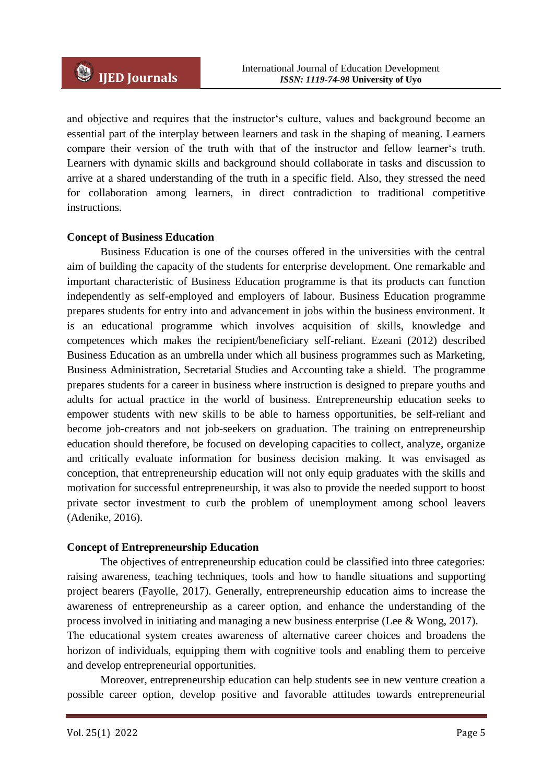and objective and requires that the instructor's culture, values and background become an essential part of the interplay between learners and task in the shaping of meaning. Learners compare their version of the truth with that of the instructor and fellow learner's truth. Learners with dynamic skills and background should collaborate in tasks and discussion to arrive at a shared understanding of the truth in a specific field. Also, they stressed the need for collaboration among learners, in direct contradiction to traditional competitive instructions.

### **Concept of Business Education**

Business Education is one of the courses offered in the universities with the central aim of building the capacity of the students for enterprise development. One remarkable and important characteristic of Business Education programme is that its products can function independently as self-employed and employers of labour. Business Education programme prepares students for entry into and advancement in jobs within the business environment. It is an educational programme which involves acquisition of skills, knowledge and competences which makes the recipient/beneficiary self-reliant. Ezeani (2012) described Business Education as an umbrella under which all business programmes such as Marketing, Business Administration, Secretarial Studies and Accounting take a shield. The programme prepares students for a career in business where instruction is designed to prepare youths and adults for actual practice in the world of business. Entrepreneurship education seeks to empower students with new skills to be able to harness opportunities, be self-reliant and become job-creators and not job-seekers on graduation. The training on entrepreneurship education should therefore, be focused on developing capacities to collect, analyze, organize and critically evaluate information for business decision making. It was envisaged as conception, that entrepreneurship education will not only equip graduates with the skills and motivation for successful entrepreneurship, it was also to provide the needed support to boost private sector investment to curb the problem of unemployment among school leavers (Adenike, 2016).

### **Concept of Entrepreneurship Education**

The objectives of entrepreneurship education could be classified into three categories: raising awareness, teaching techniques, tools and how to handle situations and supporting project bearers (Fayolle, 2017). Generally, entrepreneurship education aims to increase the awareness of entrepreneurship as a career option, and enhance the understanding of the process involved in initiating and managing a new business enterprise (Lee & Wong, 2017). The educational system creates awareness of alternative career choices and broadens the horizon of individuals, equipping them with cognitive tools and enabling them to perceive and develop entrepreneurial opportunities.

Moreover, entrepreneurship education can help students see in new venture creation a possible career option, develop positive and favorable attitudes towards entrepreneurial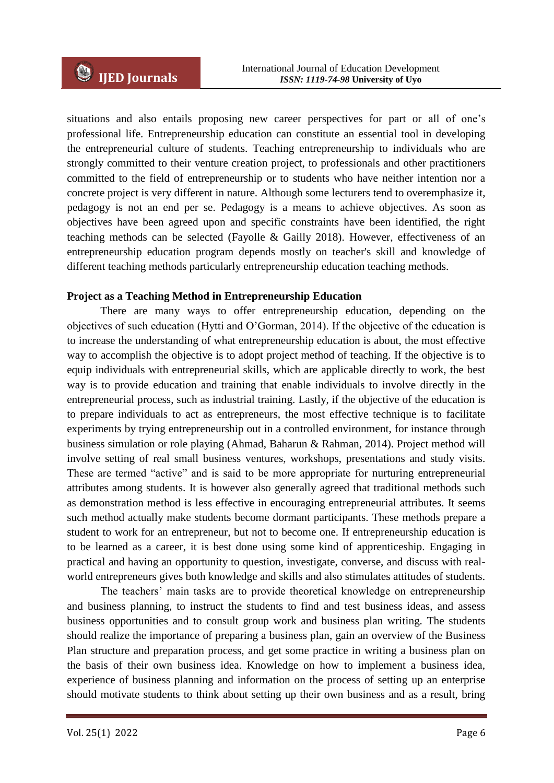situations and also entails proposing new career perspectives for part or all of one's professional life. Entrepreneurship education can constitute an essential tool in developing the entrepreneurial culture of students. Teaching entrepreneurship to individuals who are strongly committed to their venture creation project, to professionals and other practitioners committed to the field of entrepreneurship or to students who have neither intention nor a concrete project is very different in nature. Although some lecturers tend to overemphasize it, pedagogy is not an end per se. Pedagogy is a means to achieve objectives. As soon as objectives have been agreed upon and specific constraints have been identified, the right teaching methods can be selected (Fayolle & Gailly 2018). However, effectiveness of an entrepreneurship education program depends mostly on teacher's skill and knowledge of different teaching methods particularly entrepreneurship education teaching methods.

### **Project as a Teaching Method in Entrepreneurship Education**

There are many ways to offer entrepreneurship education, depending on the objectives of such education (Hytti and O'Gorman, 2014). If the objective of the education is to increase the understanding of what entrepreneurship education is about, the most effective way to accomplish the objective is to adopt project method of teaching. If the objective is to equip individuals with entrepreneurial skills, which are applicable directly to work, the best way is to provide education and training that enable individuals to involve directly in the entrepreneurial process, such as industrial training. Lastly, if the objective of the education is to prepare individuals to act as entrepreneurs, the most effective technique is to facilitate experiments by trying entrepreneurship out in a controlled environment, for instance through business simulation or role playing (Ahmad, Baharun & Rahman, 2014). Project method will involve setting of real small business ventures, workshops, presentations and study visits. These are termed "active" and is said to be more appropriate for nurturing entrepreneurial attributes among students. It is however also generally agreed that traditional methods such as demonstration method is less effective in encouraging entrepreneurial attributes. It seems such method actually make students become dormant participants. These methods prepare a student to work for an entrepreneur, but not to become one. If entrepreneurship education is to be learned as a career, it is best done using some kind of apprenticeship. Engaging in practical and having an opportunity to question, investigate, converse, and discuss with realworld entrepreneurs gives both knowledge and skills and also stimulates attitudes of students.

The teachers' main tasks are to provide theoretical knowledge on entrepreneurship and business planning, to instruct the students to find and test business ideas, and assess business opportunities and to consult group work and business plan writing. The students should realize the importance of preparing a business plan, gain an overview of the Business Plan structure and preparation process, and get some practice in writing a business plan on the basis of their own business idea. Knowledge on how to implement a business idea, experience of business planning and information on the process of setting up an enterprise should motivate students to think about setting up their own business and as a result, bring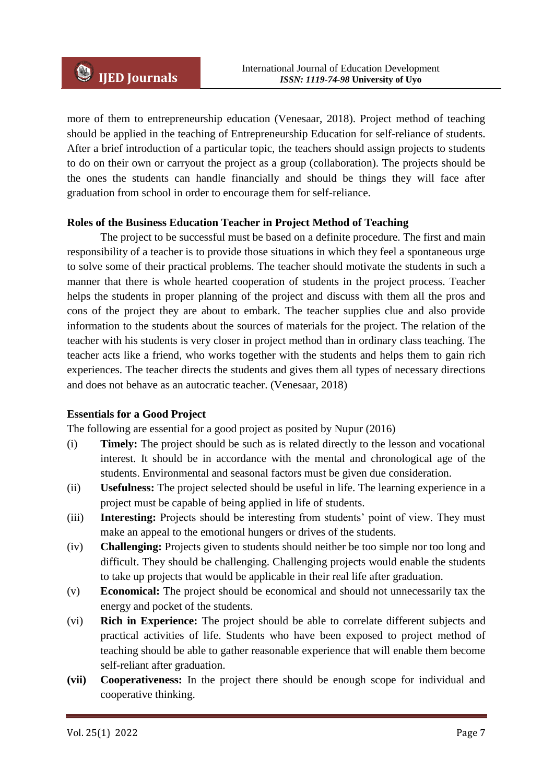more of them to entrepreneurship education (Venesaar, 2018). Project method of teaching should be applied in the teaching of Entrepreneurship Education for self-reliance of students. After a brief introduction of a particular topic, the teachers should assign projects to students to do on their own or carryout the project as a group (collaboration). The projects should be the ones the students can handle financially and should be things they will face after graduation from school in order to encourage them for self-reliance.

### **Roles of the Business Education Teacher in Project Method of Teaching**

The project to be successful must be based on a definite procedure. The first and main responsibility of a teacher is to provide those situations in which they feel a spontaneous urge to solve some of their practical problems. The teacher should motivate the students in such a manner that there is whole hearted cooperation of students in the project process. Teacher helps the students in proper planning of the project and discuss with them all the pros and cons of the project they are about to embark. The teacher supplies clue and also provide information to the students about the sources of materials for the project. The relation of the teacher with his students is very closer in project method than in ordinary class teaching. The teacher acts like a friend, who works together with the students and helps them to gain rich experiences. The teacher directs the students and gives them all types of necessary directions and does not behave as an autocratic teacher. (Venesaar, 2018)

### **Essentials for a Good Project**

The following are essential for a good project as posited by Nupur (2016)

- (i) **Timely:** The project should be such as is related directly to the lesson and vocational interest. It should be in accordance with the mental and chronological age of the students. Environmental and seasonal factors must be given due consideration.
- (ii) **Usefulness:** The project selected should be useful in life. The learning experience in a project must be capable of being applied in life of students.
- (iii) **Interesting:** Projects should be interesting from students' point of view. They must make an appeal to the emotional hungers or drives of the students.
- (iv) **Challenging:** Projects given to students should neither be too simple nor too long and difficult. They should be challenging. Challenging projects would enable the students to take up projects that would be applicable in their real life after graduation.
- (v) **Economical:** The project should be economical and should not unnecessarily tax the energy and pocket of the students.
- (vi) **Rich in Experience:** The project should be able to correlate different subjects and practical activities of life. Students who have been exposed to project method of teaching should be able to gather reasonable experience that will enable them become self-reliant after graduation.
- **(vii) Cooperativeness:** In the project there should be enough scope for individual and cooperative thinking.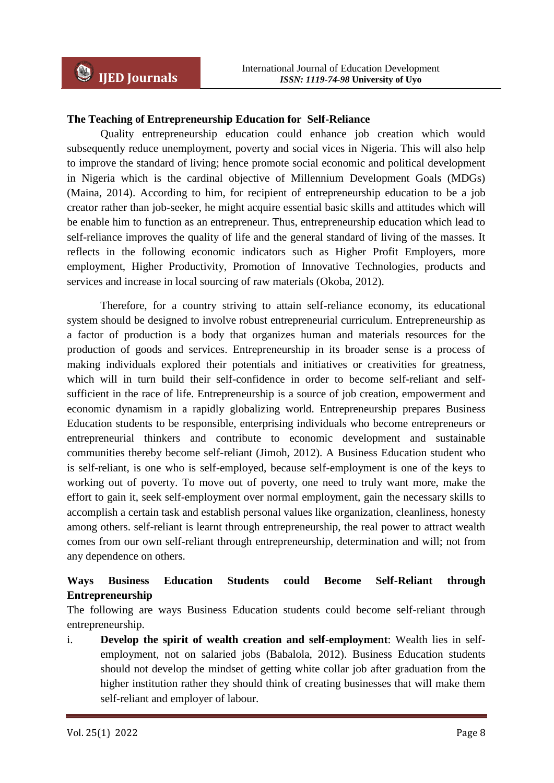### **The Teaching of Entrepreneurship Education for Self-Reliance**

Quality entrepreneurship education could enhance job creation which would subsequently reduce unemployment, poverty and social vices in Nigeria. This will also help to improve the standard of living; hence promote social economic and political development in Nigeria which is the cardinal objective of Millennium Development Goals (MDGs) (Maina, 2014). According to him, for recipient of entrepreneurship education to be a job creator rather than job-seeker, he might acquire essential basic skills and attitudes which will be enable him to function as an entrepreneur. Thus, entrepreneurship education which lead to self-reliance improves the quality of life and the general standard of living of the masses. It reflects in the following economic indicators such as Higher Profit Employers, more employment, Higher Productivity, Promotion of Innovative Technologies, products and services and increase in local sourcing of raw materials (Okoba, 2012).

Therefore, for a country striving to attain self-reliance economy, its educational system should be designed to involve robust entrepreneurial curriculum. Entrepreneurship as a factor of production is a body that organizes human and materials resources for the production of goods and services. Entrepreneurship in its broader sense is a process of making individuals explored their potentials and initiatives or creativities for greatness, which will in turn build their self-confidence in order to become self-reliant and selfsufficient in the race of life. Entrepreneurship is a source of job creation, empowerment and economic dynamism in a rapidly globalizing world. Entrepreneurship prepares Business Education students to be responsible, enterprising individuals who become entrepreneurs or entrepreneurial thinkers and contribute to economic development and sustainable communities thereby become self-reliant (Jimoh, 2012). A Business Education student who is self-reliant, is one who is self-employed, because self-employment is one of the keys to working out of poverty. To move out of poverty, one need to truly want more, make the effort to gain it, seek self-employment over normal employment, gain the necessary skills to accomplish a certain task and establish personal values like organization, cleanliness, honesty among others. self-reliant is learnt through entrepreneurship, the real power to attract wealth comes from our own self-reliant through entrepreneurship, determination and will; not from any dependence on others.

# **Ways Business Education Students could Become Self-Reliant through Entrepreneurship**

The following are ways Business Education students could become self-reliant through entrepreneurship.

i. **Develop the spirit of wealth creation and self-employment**: Wealth lies in selfemployment, not on salaried jobs (Babalola, 2012). Business Education students should not develop the mindset of getting white collar job after graduation from the higher institution rather they should think of creating businesses that will make them self-reliant and employer of labour.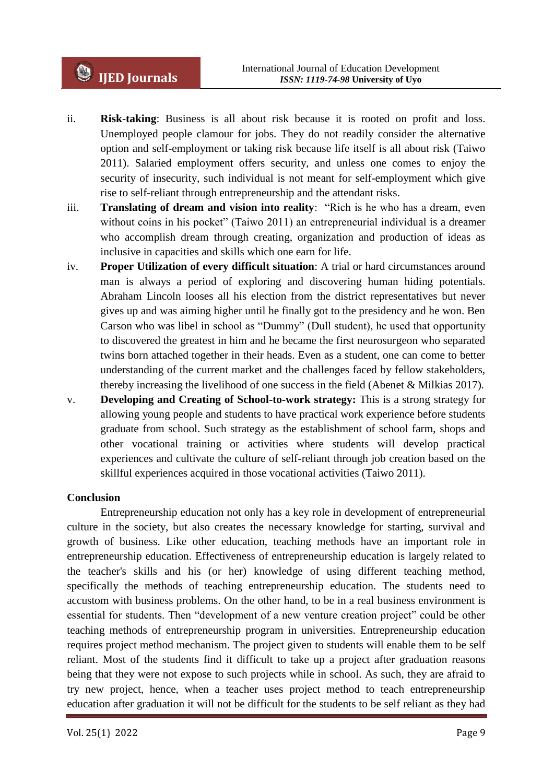- ii. **Risk**-**taking**: Business is all about risk because it is rooted on profit and loss. Unemployed people clamour for jobs. They do not readily consider the alternative option and self-employment or taking risk because life itself is all about risk (Taiwo 2011). Salaried employment offers security, and unless one comes to enjoy the security of insecurity, such individual is not meant for self-employment which give rise to self-reliant through entrepreneurship and the attendant risks.
- iii. **Translating of dream and vision into reality**: "Rich is he who has a dream, even without coins in his pocket" (Taiwo 2011) an entrepreneurial individual is a dreamer who accomplish dream through creating, organization and production of ideas as inclusive in capacities and skills which one earn for life.
- iv. **Proper Utilization of every difficult situation**: A trial or hard circumstances around man is always a period of exploring and discovering human hiding potentials. Abraham Lincoln looses all his election from the district representatives but never gives up and was aiming higher until he finally got to the presidency and he won. Ben Carson who was libel in school as "Dummy" (Dull student), he used that opportunity to discovered the greatest in him and he became the first neurosurgeon who separated twins born attached together in their heads. Even as a student, one can come to better understanding of the current market and the challenges faced by fellow stakeholders, thereby increasing the livelihood of one success in the field (Abenet & Milkias 2017).
- v. **Developing and Creating of School-to-work strategy:** This is a strong strategy for allowing young people and students to have practical work experience before students graduate from school. Such strategy as the establishment of school farm, shops and other vocational training or activities where students will develop practical experiences and cultivate the culture of self-reliant through job creation based on the skillful experiences acquired in those vocational activities (Taiwo 2011).

### **Conclusion**

Entrepreneurship education not only has a key role in development of entrepreneurial culture in the society, but also creates the necessary knowledge for starting, survival and growth of business. Like other education, teaching methods have an important role in entrepreneurship education. Effectiveness of entrepreneurship education is largely related to the teacher's skills and his (or her) knowledge of using different teaching method, specifically the methods of teaching entrepreneurship education. The students need to accustom with business problems. On the other hand, to be in a real business environment is essential for students. Then "development of a new venture creation project" could be other teaching methods of entrepreneurship program in universities. Entrepreneurship education requires project method mechanism. The project given to students will enable them to be self reliant. Most of the students find it difficult to take up a project after graduation reasons being that they were not expose to such projects while in school. As such, they are afraid to try new project, hence, when a teacher uses project method to teach entrepreneurship education after graduation it will not be difficult for the students to be self reliant as they had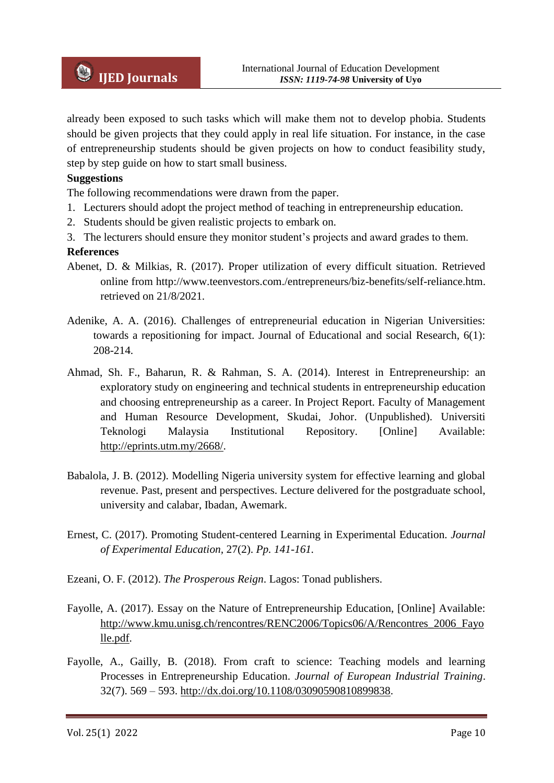

already been exposed to such tasks which will make them not to develop phobia. Students should be given projects that they could apply in real life situation. For instance, in the case of entrepreneurship students should be given projects on how to conduct feasibility study, step by step guide on how to start small business.

### **Suggestions**

The following recommendations were drawn from the paper.

- 1. Lecturers should adopt the project method of teaching in entrepreneurship education.
- 2. Students should be given realistic projects to embark on.
- 3. The lecturers should ensure they monitor student's projects and award grades to them.

#### **References**

- Abenet, D. & Milkias, R. (2017). Proper utilization of every difficult situation. Retrieved online from http://www.teenvestors.com./entrepreneurs/biz-benefits/self-reliance.htm. retrieved on 21/8/2021.
- Adenike, A. A. (2016). Challenges of entrepreneurial education in Nigerian Universities: towards a repositioning for impact. Journal of Educational and social Research, 6(1): 208-214.
- Ahmad, Sh. F., Baharun, R. & Rahman, S. A. (2014). Interest in Entrepreneurship: an exploratory study on engineering and technical students in entrepreneurship education and choosing entrepreneurship as a career. In Project Report. Faculty of Management and Human Resource Development, Skudai, Johor. (Unpublished). Universiti Teknologi Malaysia Institutional Repository. [Online] Available: [http://eprints.utm.my/2668/.](http://eprints.utm.my/2668/)
- Babalola, J. B. (2012). Modelling Nigeria university system for effective learning and global revenue. Past, present and perspectives. Lecture delivered for the postgraduate school, university and calabar, Ibadan, Awemark.
- Ernest, C. (2017). Promoting Student-centered Learning in Experimental Education. *Journal of Experimental Education,* 27(2). *Pp. 141-161.*
- Ezeani, O. F. (2012). *The Prosperous Reign*. Lagos: Tonad publishers.
- Fayolle, A. (2017). Essay on the Nature of Entrepreneurship Education, [Online] Available: [http://www.kmu.unisg.ch/rencontres/RENC2006/Topics06/A/Rencontres\\_2006\\_Fayo](http://www.kmu.unisg.ch/rencontres/RENC2006/Topics06/A/Rencontres_2006_Fayolle.pdf) [lle.pdf.](http://www.kmu.unisg.ch/rencontres/RENC2006/Topics06/A/Rencontres_2006_Fayolle.pdf)
- Fayolle, A., Gailly, B. (2018). From craft to science: Teaching models and learning Processes in Entrepreneurship Education. *Journal of European Industrial Training*. 32(7). 569 – 593. [http://dx.doi.org/10.1108/03090590810899838.](http://dx.doi.org/10.1108/03090590810899838)